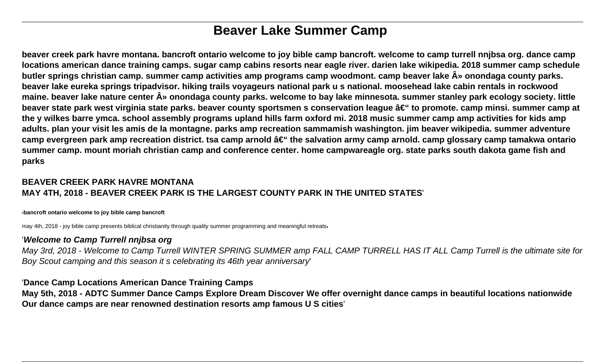# **Beaver Lake Summer Camp**

**beaver creek park havre montana. bancroft ontario welcome to joy bible camp bancroft. welcome to camp turrell nnjbsa org. dance camp locations american dance training camps. sugar camp cabins resorts near eagle river. darien lake wikipedia. 2018 summer camp schedule** butler springs christian camp. summer camp activities amp programs camp woodmont. camp beaver lake  $\hat{A}$ » onondaga county parks. **beaver lake eureka springs tripadvisor. hiking trails voyageurs national park u s national. moosehead lake cabin rentals in rockwood maine. beaver lake nature center » onondaga county parks. welcome to bay lake minnesota. summer stanley park ecology society. little** beaver state park west virginia state parks. beaver county sportsmen s conservation league – to promote. camp minsi. summer camp at **the y wilkes barre ymca. school assembly programs upland hills farm oxford mi. 2018 music summer camp amp activities for kids amp adults. plan your visit les amis de la montagne. parks amp recreation sammamish washington. jim beaver wikipedia. summer adventure** camp evergreen park amp recreation district. tsa camp arnold â€<sup>"</sup> the salvation army camp arnold. camp glossary camp tamakwa ontario **summer camp. mount moriah christian camp and conference center. home campwareagle org. state parks south dakota game fish and parks**

# **BEAVER CREEK PARK HAVRE MONTANA MAY 4TH, 2018 - BEAVER CREEK PARK IS THE LARGEST COUNTY PARK IN THE UNITED STATES**'

'**bancroft ontario welcome to joy bible camp bancroft**

may 4th, 2018 - joy bible camp presents biblical christianity through quality summer programming and meaningful retreats.

#### '**Welcome to Camp Turrell nnjbsa org**

May 3rd, 2018 - Welcome to Camp Turrell WINTER SPRING SUMMER amp FALL CAMP TURRELL HAS IT ALL Camp Turrell is the ultimate site for Boy Scout camping and this season it s celebrating its 46th year anniversary'

#### '**Dance Camp Locations American Dance Training Camps**

**May 5th, 2018 - ADTC Summer Dance Camps Explore Dream Discover We offer overnight dance camps in beautiful locations nationwide Our dance camps are near renowned destination resorts amp famous U S cities**'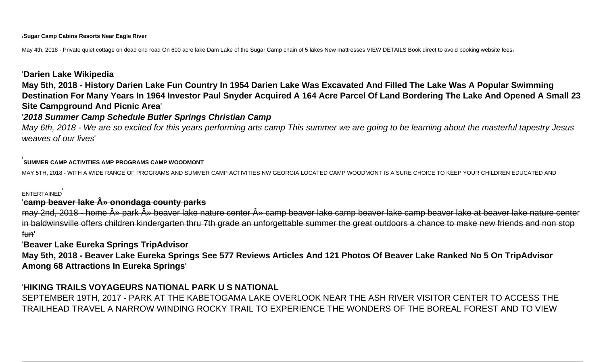#### '**Sugar Camp Cabins Resorts Near Eagle River**

May 4th, 2018 - Private quiet cottage on dead end road On 600 acre lake Dam Lake of the Sugar Camp chain of 5 lakes New mattresses VIEW DETAILS Book direct to avoid booking website feesi

#### '**Darien Lake Wikipedia**

**May 5th, 2018 - History Darien Lake Fun Country In 1954 Darien Lake Was Excavated And Filled The Lake Was A Popular Swimming Destination For Many Years In 1964 Investor Paul Snyder Acquired A 164 Acre Parcel Of Land Bordering The Lake And Opened A Small 23 Site Campground And Picnic Area**'

#### '**2018 Summer Camp Schedule Butler Springs Christian Camp**

May 6th, 2018 - We are so excited for this years performing arts camp This summer we are going to be learning about the masterful tapestry Jesus weaves of our lives'

#### '**SUMMER CAMP ACTIVITIES AMP PROGRAMS CAMP WOODMONT**

MAY 5TH, 2018 - WITH A WIDE RANGE OF PROGRAMS AND SUMMER CAMP ACTIVITIES NW GEORGIA LOCATED CAMP WOODMONT IS A SURE CHOICE TO KEEP YOUR CHILDREN EDUCATED AND

#### **ENTERTAINED**

#### '**camp beaver lake » onondaga county parks**

may 2nd, 2018 - home » park » beaver lake nature center » camp beaver lake camp beaver lake camp beaver lake at beaver lake nature center in baldwinsville offers children kindergarten thru 7th grade an unforgettable summer the great outdoors a chance to make new friends and non stop fun'

#### '**Beaver Lake Eureka Springs TripAdvisor**

**May 5th, 2018 - Beaver Lake Eureka Springs See 577 Reviews Articles And 121 Photos Of Beaver Lake Ranked No 5 On TripAdvisor Among 68 Attractions In Eureka Springs**'

#### '**HIKING TRAILS VOYAGEURS NATIONAL PARK U S NATIONAL**

SEPTEMBER 19TH, 2017 - PARK AT THE KABETOGAMA LAKE OVERLOOK NEAR THE ASH RIVER VISITOR CENTER TO ACCESS THE TRAILHEAD TRAVEL A NARROW WINDING ROCKY TRAIL TO EXPERIENCE THE WONDERS OF THE BOREAL FOREST AND TO VIEW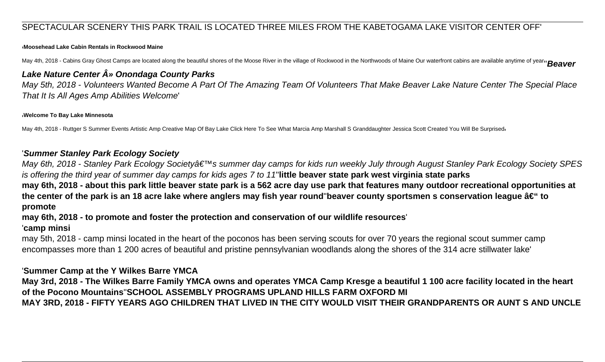## SPECTACULAR SCENERY THIS PARK TRAIL IS LOCATED THREE MILES FROM THE KABETOGAMA LAKE VISITOR CENTER OFF'

#### '**Moosehead Lake Cabin Rentals in Rockwood Maine**

May 4th, 2018 - Cabins Gray Ghost Camps are located along the beautiful shores of the Moose River in the village of Rockwood in the Northwoods of Maine Our waterfront cabins are available anytime of year<sub>11</sub> Beaver

## **Lake Nature Center » Onondaga County Parks**

May 5th, 2018 - Volunteers Wanted Become A Part Of The Amazing Team Of Volunteers That Make Beaver Lake Nature Center The Special Place That It Is All Ages Amp Abilities Welcome'

#### '**Welcome To Bay Lake Minnesota**

May 4th, 2018 - Ruttger S Summer Events Artistic Amp Creative Map Of Bay Lake Click Here To See What Marcia Amp Marshall S Granddaughter Jessica Scott Created You Will Be Surprised

#### '**Summer Stanley Park Ecology Society**

May 6th, 2018 - Stanley Park Ecology Society's summer day camps for kids run weekly July through August Stanley Park Ecology Society SPES is offering the third year of summer day camps for kids ages 7 to 11''**little beaver state park west virginia state parks may 6th, 2018 - about this park little beaver state park is a 562 acre day use park that features many outdoor recreational opportunities at** the center of the park is an 18 acre lake where anglers may fish year round"beaver county sportsmen s conservation league – to **promote**

# **may 6th, 2018 - to promote and foster the protection and conservation of our wildlife resources**'

#### '**camp minsi**

may 5th, 2018 - camp minsi located in the heart of the poconos has been serving scouts for over 70 years the regional scout summer camp encompasses more than 1 200 acres of beautiful and pristine pennsylvanian woodlands along the shores of the 314 acre stillwater lake'

#### '**Summer Camp at the Y Wilkes Barre YMCA**

**May 3rd, 2018 - The Wilkes Barre Family YMCA owns and operates YMCA Camp Kresge a beautiful 1 100 acre facility located in the heart of the Pocono Mountains**''**SCHOOL ASSEMBLY PROGRAMS UPLAND HILLS FARM OXFORD MI MAY 3RD, 2018 - FIFTY YEARS AGO CHILDREN THAT LIVED IN THE CITY WOULD VISIT THEIR GRANDPARENTS OR AUNT S AND UNCLE**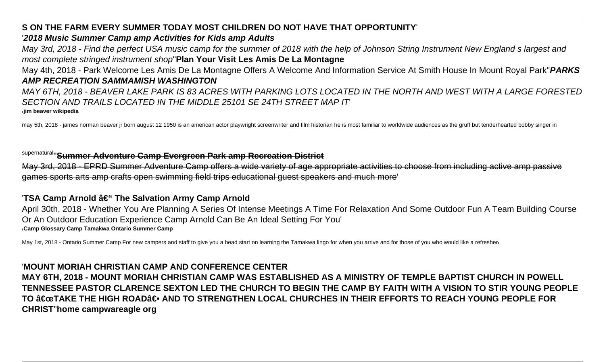# **S ON THE FARM EVERY SUMMER TODAY MOST CHILDREN DO NOT HAVE THAT OPPORTUNITY**'

# '**2018 Music Summer Camp amp Activities for Kids amp Adults**

May 3rd, 2018 - Find the perfect USA music camp for the summer of 2018 with the help of Johnson String Instrument New England s largest and most complete stringed instrument shop''**Plan Your Visit Les Amis De La Montagne** May 4th, 2018 - Park Welcome Les Amis De La Montagne Offers A Welcome And Information Service At Smith House In Mount Royal Park''**PARKS**

## **AMP RECREATION SAMMAMISH WASHINGTON**

MAY 6TH, 2018 - BEAVER LAKE PARK IS 83 ACRES WITH PARKING LOTS LOCATED IN THE NORTH AND WEST WITH A LARGE FORESTED SECTION AND TRAILS LOCATED IN THE MIDDLE 25101 SE 24TH STREET MAP IT' '**jim beaver wikipedia**

may 5th, 2018 - james norman beaver ir born august 12 1950 is an american actor playwright screenwriter and film historian he is most familiar to worldwide audiences as the gruff but tenderhearted bobby singer in

# supernatural''**Summer Adventure Camp Evergreen Park amp Recreation District**

May 3rd, 2018 - EPRD Summer Adventure Camp offers a wide variety of age appropriate activities to choose from including active amp passive games sports arts amp crafts open swimming field trips educational guest speakers and much more'

# 'TSA Camp Arnold â€" The Salvation Army Camp Arnold

April 30th, 2018 - Whether You Are Planning A Series Of Intense Meetings A Time For Relaxation And Some Outdoor Fun A Team Building Course Or An Outdoor Education Experience Camp Arnold Can Be An Ideal Setting For You' '**Camp Glossary Camp Tamakwa Ontario Summer Camp**

May 1st, 2018 - Ontario Summer Camp For new campers and staff to give you a head start on learning the Tamakwa lingo for when you arrive and for those of you who would like a refresher

# '**MOUNT MORIAH CHRISTIAN CAMP AND CONFERENCE CENTER**

**MAY 6TH, 2018 - MOUNT MORIAH CHRISTIAN CAMP WAS ESTABLISHED AS A MINISTRY OF TEMPLE BAPTIST CHURCH IN POWELL TENNESSEE PASTOR CLARENCE SEXTON LED THE CHURCH TO BEGIN THE CAMP BY FAITH WITH A VISION TO STIR YOUNG PEOPLE** TO **"TAKE THE HIGH ROAD― AND TO STRENGTHEN** LOCAL CHURCHES IN THEIR EFFORTS TO REACH YOUNG PEOPLE FOR **CHRIST**''**home campwareagle org**